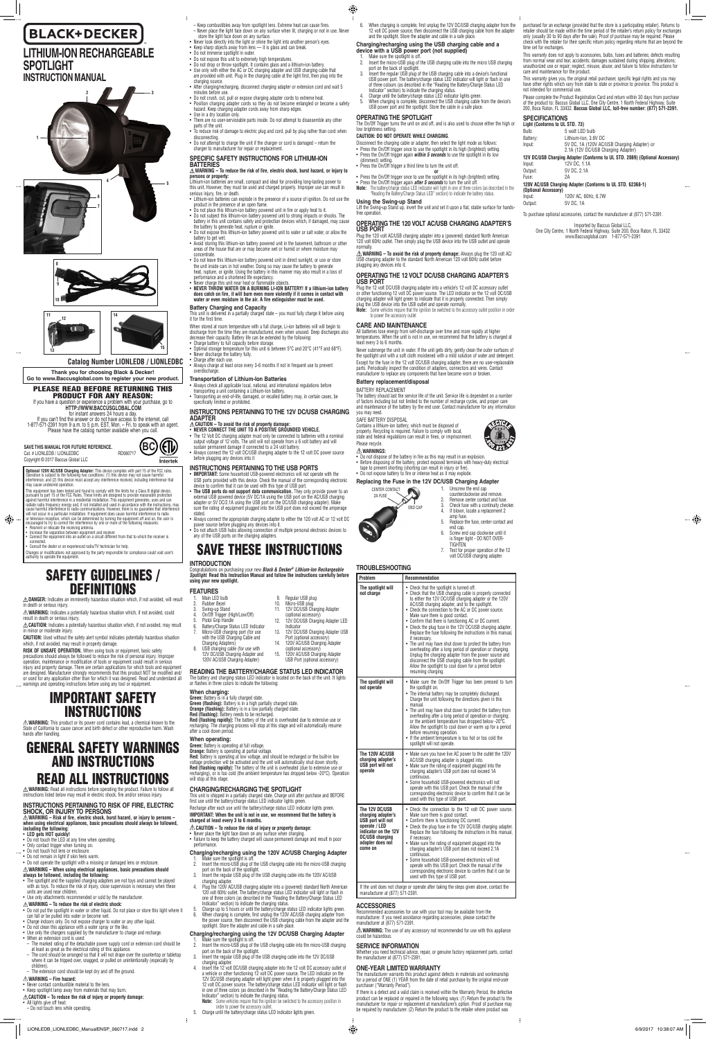**BC**

(FI) Intertek

# **BLACK+DECKER LITHIUM-ION RECHARGEABLE SPOTLIGHT**

# **INSTRUCTION MANUAL**

**Catalog Number LIONLEDB / LIONLEDBC**

**SAVE THIS MANUAL FOR FUTURE REFERENCE.**



⊕

**Thank you for choosing Black & Decker! Go to www.Baccusglobal.com to register your new product.**

PLEASE READ BEFORE RETURNING THIS

**Optional 120V AC/USB Charging Adapter:** This device complies with part 15 of the FCC rules. Operation is subject to the following two conditions: (1) this device may not cause harmful Operation is subject to the following two conditions: (1) this device may not cause harmful<br>interference, and (2) this device must accept any interference received, including interference that<br>may cause undesired operation

may cause undesired operation.<br>This equipment has been tested and found to comply with the limits for a Class B digital device,<br>Thus equipment has been tested and found to comply with the limits for a Class B digital devic

PRODUCT FOR ANY REASON: If you have a question or experience a problem with your purchase, go to **HTTP://WWW.BACCUSGLOBAL.COM**

First with the state and the state and the state and the state of initial and the answer or do not have access to the internet, call<br>1-877-571-2391 from 9 a.m. to 5 p.m. EST, Mon. – Fri. to speak with an agent.<br>Please have







**RISK OF UNSAFE OPERATION.** When using tools or equipment, basic safety precautions should always be followed to reduce the risk of personal injury. Improper operation, maintenance or modification of tools or equipment could result in serious injury and property damage. There are certain applications for which tools and equipment are designed. Manufacturer strongly recommends that this product NOT be modified and/ or used for any application other than for which it was designed. Read and understand all

# IMPORTANT SAFETY **INSTRUCTIONS**

- • **LED gets HOT quickly!**
- Do not touch the LED at any time when operating.
- • Only contact trigger when turning on.
- Do not touch hot lens or enclosure.
- Do not remain in light if skin feels warm
- Do not operate the spotlight with a missing or damaged lens or enclosure.

connected. • Consult the dealer or an experienced radio/TV technician for help.

Changes or modifications not approved by the party responsible for compliance could void user's authority to operate the equipment.

- • The spotlight and the supplied charging adapters are not toys and cannot be played with as toys. To reduce the risk of injury, close supervision is necessary when these units are used near children.
- Use only attachments recommended or sold by the manufacturer.

# SAFETY GUIDELINES / DEFINITIONS

 $\triangle$  DANGER: Indicates an imminently hazardous situation which, if not avoided, will result

- • Do not put the spotlight in water or other liquid. Do not place or store this light where it can fall or be pulled into water or become wet.
- Charge indoors only. Do not expose charger to water or any other liquid.
- • Do not clean this appliance with a water spray or the like.
- • Use only the chargers supplied by the manufacturer to charge and recharge.
- When an extension cord is used:
- The marked rating of the detachable power supply cord or extension cord should be
- at least as great as the electrical rating of this appliance.<br>— The cord should be arranged so that it will not drape over the countertop or tabletop<br>— where it can be tripped over, snagged, or pulled on unintentionally (e children).
- The extension cord should be kept dry and off the ground.

in death or serious injury. **WARNING:** Indicates a potentially hazardous situation which, if not avoided, could

result in death or serious injury. **CAUTION:** Indicates a potentially hazardous situation which, if not avoided, may result

in minor or moderate injury.

**CAUTION:** Used without the safety alert symbol indicates potentially hazardous situation which, if not avoided, may result in property damage.

- • Never contact combustible material to the lens.
- Keep spotlight lamp away from materials that may burn.

- All lights give off heat:
- Do not touch lens while operating.

warnings and operating instructions before using any tool or equipment.

**WARNING:** This product or its power cord contains lead, a chemical known to the State of California to cause cancer and birth defect or other reproductive harm. Wash hands after handling.

# GENERAL SAFETY WARNINGS AND INSTRUCTIONS READ ALL INSTRUCTIONS

**WARNING – To reduce the risk of fire, electric shock, burst hazard, or injury to persons or property:**<br>Lithium-ion batteries are small, compact and ideal for providing long-lasting power to<br>this unit. However, they must be used and charged properly. Improper use can result in

**WARNING:** Read all instructions before operating the product. Failure to follow all instructions listed below may result in electric shock, fire and/or serious injury.

#### **INSTRUCTIONS PERTAINING TO RISK OF FIRE, ELECTRIC SHOCK, OR INJURY TO PERSONS**

**WARNING – Risk of fire, electric shock, burst hazard, or injury to persons – when using electrical appliances, basic precautions should always be followed, including the following:**

#### **WARNING – When using electrical appliances, basic precautions should always be followed, including the following:**

#### **WARNING – To reduce the risk of electric shock:**

• Charge after each use. • Always charge at least once every 3-6 months if not in frequent use to prevent overdischarge.

Always connect the 12 volt DC/USB charging adapter to the 12 volt DC power source before plugging any devices into it

• Th**e USB ports do not support data communication.** They only provide power to an<br>external USB powered device (5V DC/1A using the USB port on the AC/USB charging<br>adapter or 5V DC/2.1A using the USB port on the DC/USB char sure the rating of equipment plugged into the USB port does not exceed the amperage

#### **WARNING – Fire hazard:**

### **CAUTION – To reduce the risk of injury or property damage:**

- Swing-up Stand 4. On/Off Trigger (High/Low/Off) 5. Pistol Grip Handle 6. Battery/Charge Status LED Indicator 7. Micro-USB charging port (for use with the USB Charging Cable and Charging Adapters) 9. Regular USB plug<br>10. Micro-USB plug Micro-USB plug 11. 12V DC/USB Charging Adapter (optional accessory) 12. 12V DC/USB Charging Adapter LED Indicator 13. 12V DC/USB Charging Adapter USB Port (optional accessory)
- 8. USB charging cable (for use with 12V DC/USB Charging Adapter and 14. 120V AC/USB Charging Adapter (optional accessory) 15. 120V AC/USB Charging Adapter

**Green:** Battery is operating at full voltage. **Orange:** Battery is operating at partial voltage.<br>**Red:** Battery is operating at low voltage, and should be recharged or the built-in low

- Keep combustibles away from spotlight lens. Extreme heat can cause fires.
- Never place the light face down on any surface when lit, charging or not in use. Never store the light face down on any surface. • Never look directly into the light or shine the light into another person's eyes.
- Keep sharp objects away from lens it is glass and can break. Do not immerse spotlight in water.
- Do not expose this unit to extremely high temperatures.
- • Do not drop or throw spotlight. It contains glass and a lithium-ion battery.
- • Use only with either the AC or DC charging adapter and USB charging cable that are provided with unit. Plug in the charging cable at the light first, then plug into the charging source.
- • After charging/recharging, disconnect charging adapter or extension cord and wait 5 minutes before use. • Do not crush, cut, pull or expose charging adapter cords to extreme heat.
- • Position charging adapter cords so they do not become entangled or become a safety hazard. Keep charging adapter cords away from sharp edges.
- Use in a dry location only. • There are no user-serviceable parts inside. Do not attempt to disassemble any other
- parts of the unit. • To reduce risk of damage to electric plug and cord, pull by plug rather than cord when
- disconnecting. • Do not attempt to charge the unit if the charger or cord is damaged – return the charger to manufacturer for repair or replacement.

### **SPECIFIC SAFETY INSTRUCTIONS FOR LITHIUM-ION BATTERIES**

### **Charging/recharging using the 12V DC/USB Charging Adapter** 1. Make sure the spotlight is off.<br>2. Insert the micro-USB plug of

- Insert the micro-USB plug of the USB charging cable into the micro-USB charging
- port on the back of the spotlight. 3. Insert the regular USB plug of the USB charging cable into the 12V DC/USB charging adapter.
- 4. Insert the 12 volt DC/USB charging adapter into the 12 volt DC accessory outlet of<br>a vehicle or other functioning 12 volt DC power source. The LED indicator on the<br>12V DC/USB charging adapter will light green when it is 12 volt DC power source. The battery/charge status LED indicator will light or flash in one of three colors (as described in the "Reading the Battery/Charge Status LED
- Indicator" section) to indicate the charging status. **Note:** Some vehicles require that the ignition be switched to the accessory position in order to power the accessory outlet.
- 5. Charge until the battery/charge status LED indicator lights green.
- serious injury, fire, or death.
- • Lithium-ion batteries can explode in the presence of a source of ignition. Do not use the product in the presence of an open flame.
- • Do not place this lithium-ion battery powered unit in fire or apply heat to it. • Do not subject this lithium-ion battery powered unit to strong impacts or shocks. The battery in this unit contains safety and protection devices which, if damaged, may cause
- the battery to generate heat, rupture or ignite. • Do not expose this lithium-ion battery powered unit to water or salt water, or allow the battery to get wet. • Avoid storing this lithium-ion battery powered unit in the basement, bathroom or other
- areas of the house that are or may become wet or humid or where moisture ma concentrate.
- • Do not leave this lithium-ion battery powered unit in direct sunlight, or use or store the unit inside cars in hot weather. Doing so may cause the battery to generate heat, rupture, or ignite. Using the battery in this manner may also result in a loss of
- performance and a shortened life expectancy. • Never charge this unit near heat or flammable objects.
	- NEVER THROW WATER ON A BURNING LI-ION BATTERY! If a lithium-ion battery **does catch on fire, it will burn even more violently if it comes in contact with water or even moisture in the air. A fire extinguisher must be used.**
- Disconnect the charging cable or adapter, then select the light mode as follows: Press the On/Off trigger once to use the spotlight in its high (brightest) setting.
- Press the On/Off trigger again *within 5 seconds* to use the spotlight in its low (dimmest) setting.
- Press the On/Off trigger a third time to turn the unit off.

**or** • Press the On/Off trigger once to use the spotlight in its high (brightest) setting.

• Press the On/Off trigger again *after 5 seconds* to turn the unit off.<br>**Note:** The battery/charge status LED indicator will light in one of three colors (as described in the

### **Battery Charging and Capacity**

This unit is delivered in a partially charged state – you must fully charge it before using it for the first time.

When stored at room temperature with a full charge, Li-ion batteries will will begin to discharge from the time they are manufactured, even when unused. Deep discharges also decrease their capacity. Battery life can be extended by the following:

• Charge battery to full capacity before storage.<br>• Optimal storage temperature for this unit is between 5°C and 20°C (41°F and 68°F).<br>• Never discharge the battery fully.

### **Transportation of Lithium-Ion Batteries**

• Always check all applicable local, national, and international regulations before transporting a unit containing a Lithium-Ion battery.

Transporting an end-of-life, damaged, or recalled battery may, in certain cases, be specifically limited or prohibited.

of factors including but not limited to the number of recharge cycles, and proper care and maintenance of the battery by the end user. Contact manufacturer for any info

SAFE BATTERY DISPOSAL Contains a lithium-ion battery, which must be disposed of properly. Recycling is required. Failure to comply with local, state and federal regulations can result in fines, or imprisonn

# **INSTRUCTIONS PERTAINING TO THE 12V DC/USB CHARGING**

# **ADAPTER CAUTION – To avoid the risk of property damage:**

**NEVER CONNECT THE UNIT TO A POSITIVE GROUNDED VEHICLE.** • The 12 Volt DC charging adapter must only be connected to batteries with a nominal<br>output voltage of 12 volts. The unit will not operate from a 6 volt battery and will<br>sustain permanent damage if connected to a 24 volt b

> For the dispose of the battery in fire as this may result in an explosion. • Before disposing of the battery, protect exposed terminals with heavy-duty electrical tape to prevent shorting (shorting can result in injury or fire).

> > 1. Unscrew the end cap counterclockwise and remove. Remove center contact and fuse 3. Check fuse with a continuity checker.<br>4. If blown, locate a replacement 2 If blown, locate a replacement 2

### **INSTRUCTIONS PERTAINING TO THE USB PORTS**

• **IMPORTANT:** Some household USB-powered electronics will not operate with the USB ports provided with this device. Check the manual of the corresponding electronic device to confirm that it can be used with this type of USB port.

stated. • Always connect the appropriate charging adapter to either the 120 volt AC or 12 volt DC

power source before plugging any devices into it. • Do not attach USB hubs allowing connection of multiple personal electronic devices to any of the USB ports on the charging adapters.

# SAVE THESE INSTRUCTIONS

**INTRODUCTION** Congratulations on purchasing your new *Black & Decker® Lithium-Ion Rechargeable Spotlight*. **Read this Instruction Manual and follow the instructions carefully before using your new spotlight.** 

|    | <b>FEATURES</b> |
|----|-----------------|
| lt | Main LED bulb   |
|    | Rubber Bezel    |

 $\triangle$  **WARNING:** The use of any accessory not recommended for use with this appliance could be hazardous.

The manufacturer warrants this product against defects in materials and workmanship for a period of ONE (1) YEAR from the date of retail purchase by the original end-user purchaser ("Warranty Period").

120V AC/USB Charging Adapter) USB Port (optional accessory)

**READING THE BATTERY/CHARGE STATUS LED INDICATOR** The battery and charging status LED indicator is located on the back of the unit. It lights or flashes in three colors to indicate the following:

### **When charging:**

| <b>Green:</b> Battery is in a fully charged state.                                           |  |
|----------------------------------------------------------------------------------------------|--|
| <b>Green (flashing):</b> Battery is in a high partially charged state.                       |  |
| <b>Orange (flashing):</b> Battery is in a low partially charged state.                       |  |
| <b>Red (flashing):</b> Battery needs to be recharged.                                        |  |
| <b>Red (flashing rapidly):</b> The battery of the unit is overheated due to extensive use or |  |
| recharging. The charging process will stop at this stage and will automatically resume       |  |
| after a cool down period.                                                                    |  |
|                                                                                              |  |

**SPECIFICATIONS Light (Conforms to UL STD. 73)**  Bulb: 5 watt LED bulb<br>Rattery: Lithium-Ion. 3.6

### **When operating:**

Lithium-Ion, 3.6V DC Input: 5V DC, 1A (120V AC/USB Charging Adapter) or 2.1A (12V DC/USB Charging Adapter) **12V DC/USB Charging Adapter (Conforms to UL STD. 2089) (Optional Accessory)**

Input: 120V AC, 60Hz, 6.7W Output: 5V DC, 1A

voltage protection will be activated and the unit will automatically shut down shortly. **Red (flashing rapidly):** The battery of the unit is overheated (due to extensive use or<br>recharging), or is too cold (the ambient temperature has dropped below -20°C). Operation will stop at this stage.

#### **CHARGING/RECHARGING THE SPOTLIGHT**

This unit is shipped in a partially charged state. Charge unit after purchase and BEFORE first use until the battery/charge status LED indicator lights green.

Recharge after each use until the battery/charge status LED indicator lights green.

#### **IMPORTANT: When the unit is not in use, we recommend that the battery is charged at least every 3 to 6 months.**

 $\triangle$  CAUTION – To reduce the risk of injury or property damage

- • Never place the light face down on any surface when charging.
- Failure to keep the battery charged will cause permanent damage and result in poor performance.

# **Charging/recharging using the 120V AC/USB Charging Adapter**

- 1. Make sure the spotlight is off.<br>2. Insert the micro-USB plug of Insert the micro-USB plug of the USB charging cable into the micro-USB charging port on the back of the spotlight.
- 3. Insert the regular USB plug of the USB charging cable into the 120V AC/USB
- charging adapter. 4. Plug the 120V AC/USB charging adapter into a (powered) standard North American 120 volt 60Hz outlet. The battery/charge status LED indicator will light or flash in one of three colors (as described in the "Reading the Battery/Charge Status LED
- 
- Indicator" section) to indicate the charging status.<br>5. Charge up to 5 hours or until the battery/charge status LED indicator lights green.<br>6. When charging is complete, first unplug the 120V AC/USB charging adapter from<br>t spotlight. Store the adapter and cable in a safe place.

6. When charging is complete, first unplug the 12V DC/USB charging adapter from the 12 volt DC power source, then disconnect the USB charging cable from the adapter and the spotlight. Store the adapter and cable in a safe place.

### **Charging/recharging using the USB charging cable and a device with a USB power port (not supplied)**

- 1. Make sure the spotlight is off. 2. Insert the micro-USB plug of the USB charging cable into the micro USB charging
- port on the back of spotlight.

 $\bigoplus$ 

- 3. Insert the regular USB plug of the USB charging cable into a device's functional USB power port. The battery/charge status LED indicator will light or flash in one of three colours (as described in the "Reading the Battery/Charge Status LED Indicator" section) to indicate the charging status. 4. Charge until the battery/charge status LED indicator lights green.
- 
- 5. When charging is complete, disconnect the USB charging cable from the device's USB power port and the spotlight. Store the cable in a safe place.

## **OPERATING THE SPOTLIGHT**

The On/Off Trigger turns the unit on and off, and is also used to choose either the high or low brightness setting.

### **CAUTION: DO NOT OPERATE WHILE CHARGING**.

"Reading the Battery/Charge Status LED" section) to indicate the battery status.

**Using the Swing-up Stand** Lift the Swing-up Stand up, invert the unit and set it upon a flat, stable surface for handsfree operation.

## **OPERATING THE 120 VOLT AC/USB CHARGING ADAPTER'S**

**USB PORT** Plug the 120 volt AC/USB charging adapter into a (powered) standard North American 120 volt 60Hz outlet. Then simply plug the USB device into the USB outlet and operate normally.

**WARNING – To avoid the risk of property damage:** Always plug the 120 volt AC/ USB charging adapter to the standard North American 120 volt 60Hz outlet before plugging any devices into it.

### **OPERATING THE 12 VOLT DC/USB CHARGING ADAPTER'S USB PORT**

Plug the 12 volt DC/USB charging adapter into a vehicle's 12 volt DC accessory outlet<br>or other functioning 12 volt DC power source. The LED indicator on the 12 volt DC/USB<br>charging adapter will light green to indicate that

plug the USB device into the USB outlet and operate normally.<br>**Note:** Some vehicles require that the ignition be switched to the accessory outlet position in order<br>to power the accessory outlet

## **CARE AND MAINTENANCE**

All batteries lose energy from self-discharge over time and more rapidly at higher temperatures. When the unit is not in use, we recommend that the battery is charged at least every 3 to 6 months.

Never submerge the unit in water. If the unit gets dirty, gently clean the outer surfaces of the spotlight unit with a soft cloth moistened with a mild solution of water and detergent. Except for the fuse in the 12 volt DC/USB charging adapter, there are no user-replaceable<br>parts. Periodically inspect the condition of adapters, connectors and wires. Contact manufacturer to replace any components that have become worn or broken.

## **Battery replacement/disposal**

BATTERY REPLACEMENT The battery should last the service life of the unit. Service life is dependent on a number

you may need.

Please recycle. **WARNINGS:**

**Replacing the Fuse in the 12V DC/USB Charging Adapter**

2A FUSE CENTER CONTACT

END CAP

amp fuse.

5. Replace the fuse, center contact and

end cap.

6. Screw end cap clockwise until it is finger tight - DO NOT OVER-

TIGHTEN.

7. Test for proper operation of the 12 volt DC/USB charging adapter.

• Do not expose battery to fire or intense heat as it may explode

A

**TROUBLESHOOTING**

**The spotlight will** 

**not charge** • Check that the spotlight is turned off. • Check that the USB charging cable is properly connected

Make sure there is good contact.

to either the 12V DC/USB charging adapter or the 120V AC/USB charging adapter, and to the spotlight. • Check the connection to the AC or DC power source.

• Confirm that there is functioning AC or DC current. • Check the plug fuse in the 12V DC/USB charging adapter. Replace the fuse following the instructions in this manual, if necessary. • The unit may have shut down to protect the battery from overheating after a long period of operation or charging. Unplug the charging adapter from the power source and disconnect the USB charging cable from the spotlight. Allow the spotlight to cool down for a period before

• Make sure the On/Off Trigger has been pressed to turn

resuming charging.

**The spotlight will** 

**Problem Recommendation** 

the spotlight on.

|                                                                                        |                                                                                                                                                                    | • The internal battery may be completely discharged.<br>Charge the unit following the directions given in this<br>manual.<br>• The unit may have shut down to protect the battery from<br>overheating after a long period of operation or charging;<br>or the ambient temperature has dropped below -20°C.<br>Allow the spotlight to cool down or warm up for a period<br>before resuming operation.<br>• If the ambient temperature is too hot or too cold the<br>spotlight will not operate.                                                                                                                                |
|----------------------------------------------------------------------------------------|--------------------------------------------------------------------------------------------------------------------------------------------------------------------|-------------------------------------------------------------------------------------------------------------------------------------------------------------------------------------------------------------------------------------------------------------------------------------------------------------------------------------------------------------------------------------------------------------------------------------------------------------------------------------------------------------------------------------------------------------------------------------------------------------------------------|
|                                                                                        | The 120V AC/USB<br>charging adapter's<br>USB port will not<br>operate                                                                                              | • Make sure you have live AC power to the outlet the 120V<br>AC/USB charging adapter is plugged into.<br>• Make sure the rating of equipment plugged into the<br>charging adapter's USB port does not exceed 1A<br>continuous.<br>• Some household USB-powered electronics will not<br>operate with this USB port. Check the manual of the<br>corresponding electronic device to confirm that it can be<br>used with this type of USB port.                                                                                                                                                                                   |
|                                                                                        | The 12V DC/USB<br>charging adapter's<br><b>USB</b> port will not<br>operate / LED<br>indicator on the 12V<br><b>DC/USB charging</b><br>adapter does not<br>come on | • Check the connection to the 12 volt DC power source.<br>Make sure there is good contact.<br>• Confirm there is functioning DC current.<br>• Check the plug fuse in the 12V DC/USB charging adapter.<br>Replace the fuse following the instructions in this manual,<br>if necessary.<br>• Make sure the rating of equipment plugged into the<br>charging adapter's USB port does not exceed 2.1A<br>continuous.<br>• Some household USB-powered electronics will not<br>operate with this USB port. Check the manual of the<br>corresponding electronic device to confirm that it can be<br>used with this type of USB port. |
| If the unit does not charge or operate after taking the steps given above, contact the |                                                                                                                                                                    |                                                                                                                                                                                                                                                                                                                                                                                                                                                                                                                                                                                                                               |

manufacturer at (877) 571-2391.

**ACCESSORIES**

Recommended accessories for use with your tool may be available from the manufacturer. If you need assistance regarding accessories, please contact the manufacturer at (877) 571-2391.

### **SERVICE INFORMATION**

Whether you need technical advice, repair, or genuine factory replacement parts, contact the manufacturer at (877) 571-2391.

### **ONE-YEAR LIMITED WARRANTY**

If there is a defect and a valid claim is received within the Warranty Period, the defective product can be replaced or repaired in the following ways: (1) Return the product to the manufacturer for repair or replacement at manufacturer's option. Proof of purchase may be required by manufacturer. (2) Return the product to the retailer where product was  $-\bigoplus$ 

purchased for an exchange (provided that the store is a participating retailer). Returns to retailer should be made within the time period of the retailer's return policy for exchanges only (usually 30 to 90 days after the sale). Proof of purchase may be required. Please check with the retailer for their specific return policy regarding returns that are beyond the

This warranty does not apply to accessories, bulbs, fuses and batteries; defects resulting from normal wear and tear, accidents; damages sustained during shipping; alterations; unauthorized use or repair; neglect, misuse, abuse; and failure to follow instructions for care and maintenance for the product. This warranty gives you, the original retail purchaser, specific legal rights and you may have other rights which vary from state to state or province to province. This product is

time set for exchanges.

not intended for commercial use.

Please complete the Product Registration Card and return within 30 days from purchase of the product to: Baccus Global LLC, One City Centre, 1 North Federal Highway, Suite 200, Boca Raton, FL 33432. **Baccus Global LLC, toll-free number: (877) 571-2391.** 

Input: 12V DC, 1.1A Output: 5V DC, 2.1A Fuse: 2A

**120V AC/USB Charging Adapter (Conforms to UL STD. 62368-1)**

**(Optional Accessory)**

To purchase optional accessories, contact the manufacturer at (877) 571-2391.

Imported by Baccus Global LLC,<br>One City Centre, 1 North Federal Highway, Suite 200, Boca Raton, FL 33432<br>www.Baccusglobal.com 1-877-571-2391